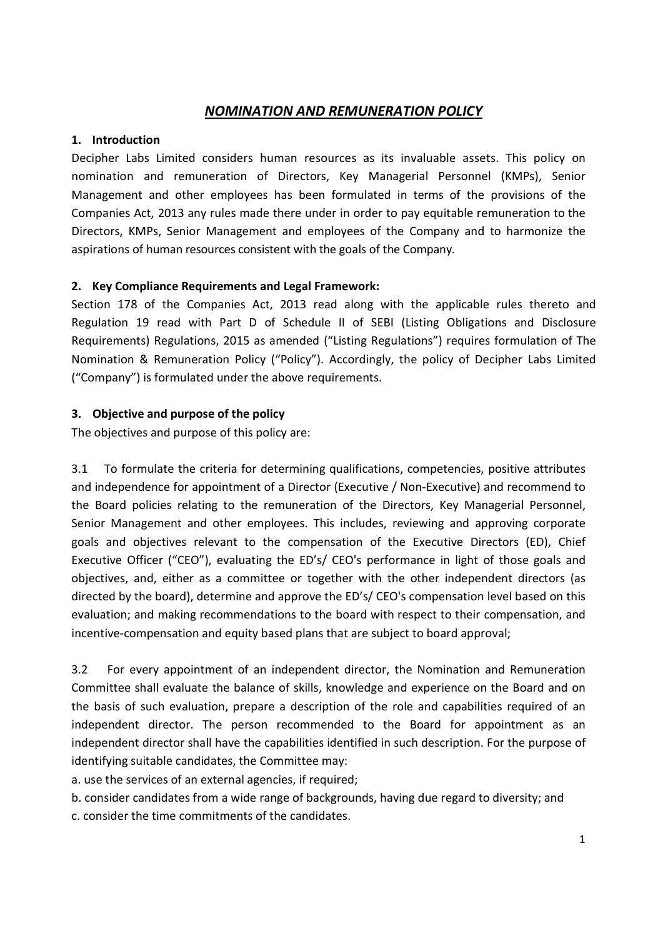# NOMINATION AND REMUNERATION POLICY

## 1. Introduction

Decipher Labs Limited considers human resources as its invaluable assets. This policy on nomination and remuneration of Directors, Key Managerial Personnel (KMPs), Senior Management and other employees has been formulated in terms of the provisions of the Companies Act, 2013 any rules made there under in order to pay equitable remuneration to the Directors, KMPs, Senior Management and employees of the Company and to harmonize the aspirations of human resources consistent with the goals of the Company.

# 2. Key Compliance Requirements and Legal Framework:

Section 178 of the Companies Act, 2013 read along with the applicable rules thereto and Regulation 19 read with Part D of Schedule II of SEBI (Listing Obligations and Disclosure Requirements) Regulations, 2015 as amended ("Listing Regulations") requires formulation of The Nomination & Remuneration Policy ("Policy"). Accordingly, the policy of Decipher Labs Limited ("Company") is formulated under the above requirements.

# 3. Objective and purpose of the policy

The objectives and purpose of this policy are:

3.1 To formulate the criteria for determining qualifications, competencies, positive attributes and independence for appointment of a Director (Executive / Non-Executive) and recommend to the Board policies relating to the remuneration of the Directors, Key Managerial Personnel, Senior Management and other employees. This includes, reviewing and approving corporate goals and objectives relevant to the compensation of the Executive Directors (ED), Chief Executive Officer ("CEO"), evaluating the ED's/ CEO's performance in light of those goals and objectives, and, either as a committee or together with the other independent directors (as directed by the board), determine and approve the ED's/ CEO's compensation level based on this evaluation; and making recommendations to the board with respect to their compensation, and incentive-compensation and equity based plans that are subject to board approval;

3.2 For every appointment of an independent director, the Nomination and Remuneration Committee shall evaluate the balance of skills, knowledge and experience on the Board and on the basis of such evaluation, prepare a description of the role and capabilities required of an independent director. The person recommended to the Board for appointment as an independent director shall have the capabilities identified in such description. For the purpose of identifying suitable candidates, the Committee may:

a. use the services of an external agencies, if required;

b. consider candidates from a wide range of backgrounds, having due regard to diversity; and

c. consider the time commitments of the candidates.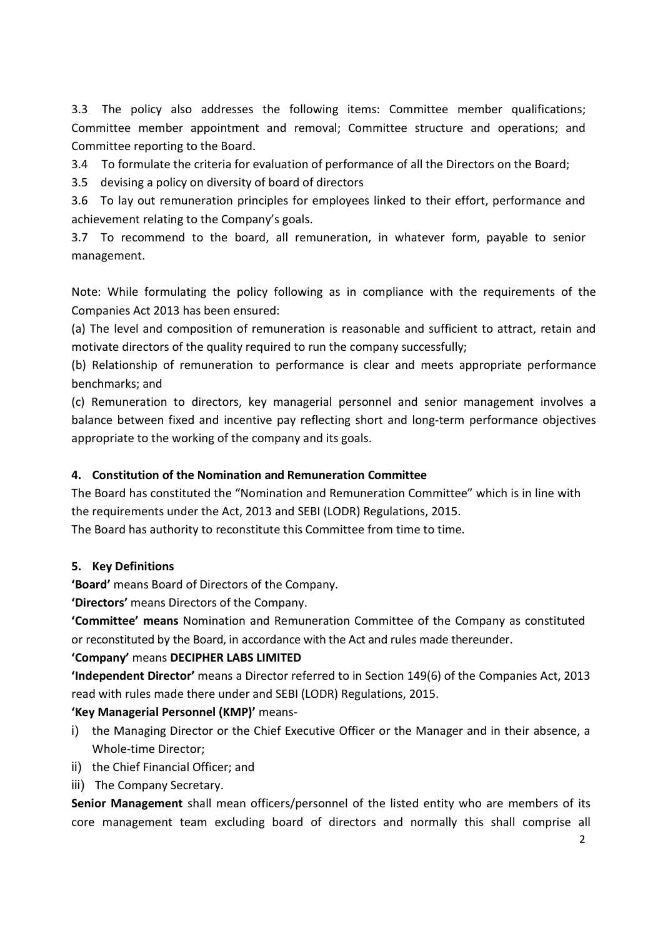3.3 The policy also addresses the following items: Committee member qualifications; Committee member appointment and removal; Committee structure and operations; and Committee reporting to the Board.

3.4 To formulate the criteria for evaluation of performance of all the Directors on the Board;

3.5 devising a policy on diversity of board of directors

3.6 To lay out remuneration principles for employees linked to their effort, performance and achievement relating to the Company's goals.

3.7 To recommend to the board, all remuneration, in whatever form, payable to senior management.

Note: While formulating the policy following as in compliance with the requirements of the Companies Act 2013 has been ensured:

(a) The level and composition of remuneration is reasonable and sufficient to attract, retain and motivate directors of the quality required to run the company successfully;

(b) Relationship of remuneration to performance is clear and meets appropriate performance benchmarks; and

(c) Remuneration to directors, key managerial personnel and senior management involves a balance between fixed and incentive pay reflecting short and long-term performance objectives appropriate to the working of the company and its goals.

# 4. Constitution of the Nomination and Remuneration Committee

The Board has constituted the "Nomination and Remuneration Committee" which is in line with the requirements under the Act, 2013 and SEBI (LODR) Regulations, 2015.

The Board has authority to reconstitute this Committee from time to time.

# 5. Key Definitions

'Board' means Board of Directors of the Company.

'Directors' means Directors of the Company.

'Committee' means Nomination and Remuneration Committee of the Company as constituted or reconstituted by the Board, in accordance with the Act and rules made thereunder.

# 'Company' means DECIPHER LABS LIMITED

'Independent Director' means a Director referred to in Section 149(6) of the Companies Act, 2013 read with rules made there under and SEBI (LODR) Regulations, 2015.

# 'Key Managerial Personnel (KMP)' means-

- i) the Managing Director or the Chief Executive Officer or the Manager and in their absence, a Whole-time Director;
- ii) the Chief Financial Officer; and
- iii) The Company Secretary.

Senior Management shall mean officers/personnel of the listed entity who are members of its core management team excluding board of directors and normally this shall comprise all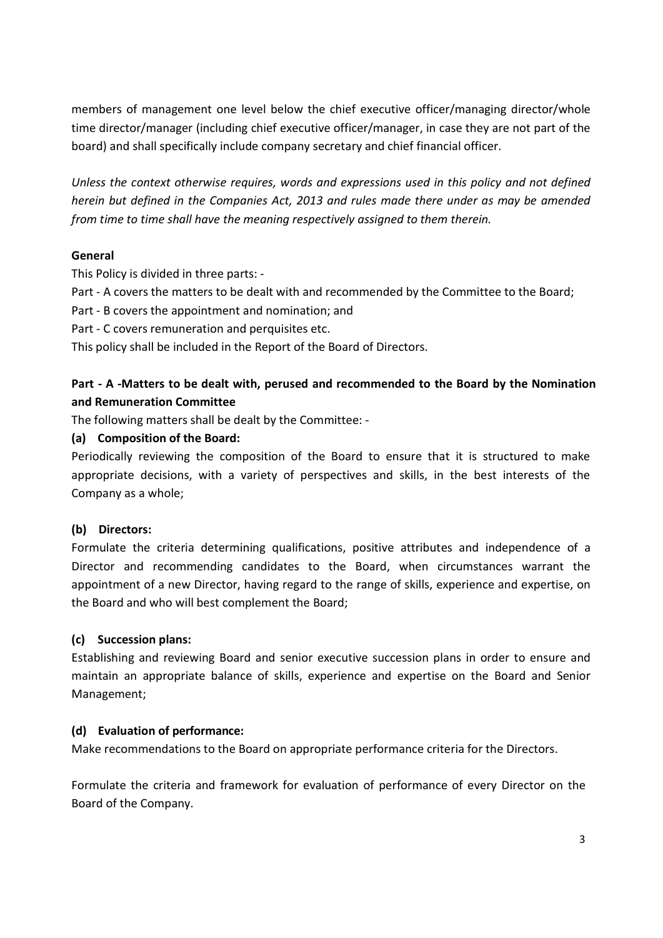members of management one level below the chief executive officer/managing director/whole time director/manager (including chief executive officer/manager, in case they are not part of the board) and shall specifically include company secretary and chief financial officer.

Unless the context otherwise requires, words and expressions used in this policy and not defined herein but defined in the Companies Act, 2013 and rules made there under as may be amended from time to time shall have the meaning respectively assigned to them therein.

## General

This Policy is divided in three parts: -

Part - A covers the matters to be dealt with and recommended by the Committee to the Board;

Part - B covers the appointment and nomination; and

Part - C covers remuneration and perquisites etc.

This policy shall be included in the Report of the Board of Directors.

# Part - A -Matters to be dealt with, perused and recommended to the Board by the Nomination and Remuneration Committee

The following matters shall be dealt by the Committee: -

## (a) Composition of the Board:

Periodically reviewing the composition of the Board to ensure that it is structured to make appropriate decisions, with a variety of perspectives and skills, in the best interests of the Company as a whole;

## (b) Directors:

Formulate the criteria determining qualifications, positive attributes and independence of a Director and recommending candidates to the Board, when circumstances warrant the appointment of a new Director, having regard to the range of skills, experience and expertise, on the Board and who will best complement the Board;

## (c) Succession plans:

Establishing and reviewing Board and senior executive succession plans in order to ensure and maintain an appropriate balance of skills, experience and expertise on the Board and Senior Management;

## (d) Evaluation of performance:

Make recommendations to the Board on appropriate performance criteria for the Directors.

Formulate the criteria and framework for evaluation of performance of every Director on the Board of the Company.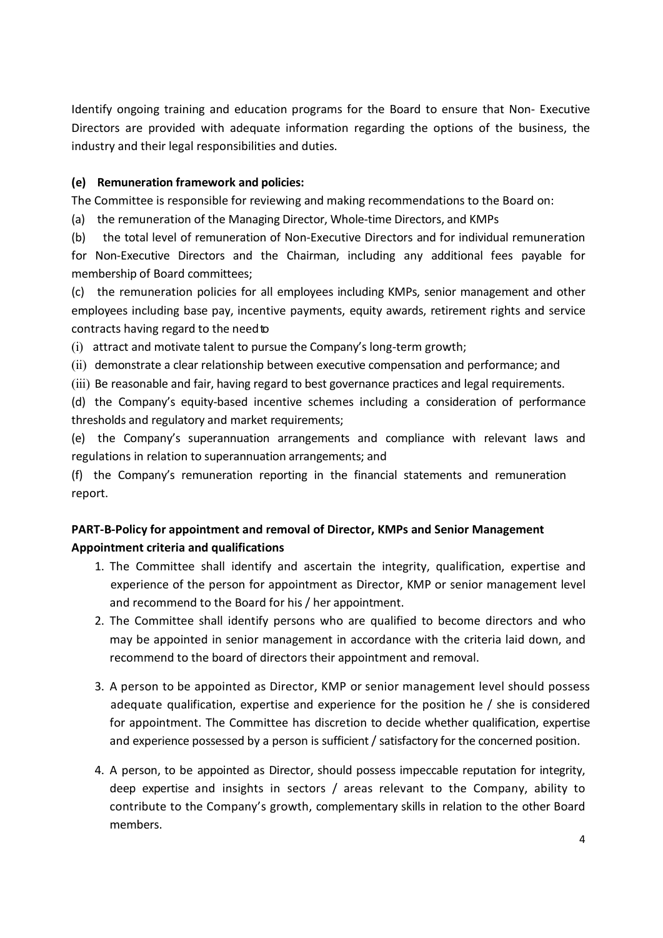Identify ongoing training and education programs for the Board to ensure that Non- Executive Directors are provided with adequate information regarding the options of the business, the industry and their legal responsibilities and duties.

# (e) Remuneration framework and policies:

The Committee is responsible for reviewing and making recommendations to the Board on:

(a) the remuneration of the Managing Director, Whole-time Directors, and KMPs

(b) the total level of remuneration of Non-Executive Directors and for individual remuneration for Non-Executive Directors and the Chairman, including any additional fees payable for membership of Board committees;

(c) the remuneration policies for all employees including KMPs, senior management and other employees including base pay, incentive payments, equity awards, retirement rights and service contracts having regard to the need to

(i) attract and motivate talent to pursue the Company's long-term growth;

(ii) demonstrate a clear relationship between executive compensation and performance; and

(iii) Be reasonable and fair, having regard to best governance practices and legal requirements.

(d) the Company's equity-based incentive schemes including a consideration of performance thresholds and regulatory and market requirements;

(e) the Company's superannuation arrangements and compliance with relevant laws and regulations in relation to superannuation arrangements; and

(f) the Company's remuneration reporting in the financial statements and remuneration report.

# PART-B-Policy for appointment and removal of Director, KMPs and Senior Management Appointment criteria and qualifications

- 1. The Committee shall identify and ascertain the integrity, qualification, expertise and experience of the person for appointment as Director, KMP or senior management level and recommend to the Board for his / her appointment.
- 2. The Committee shall identify persons who are qualified to become directors and who may be appointed in senior management in accordance with the criteria laid down, and recommend to the board of directors their appointment and removal.
- 3. A person to be appointed as Director, KMP or senior management level should possess adequate qualification, expertise and experience for the position he / she is considered for appointment. The Committee has discretion to decide whether qualification, expertise and experience possessed by a person is sufficient / satisfactory for the concerned position.
- 4. A person, to be appointed as Director, should possess impeccable reputation for integrity, deep expertise and insights in sectors / areas relevant to the Company, ability to contribute to the Company's growth, complementary skills in relation to the other Board members.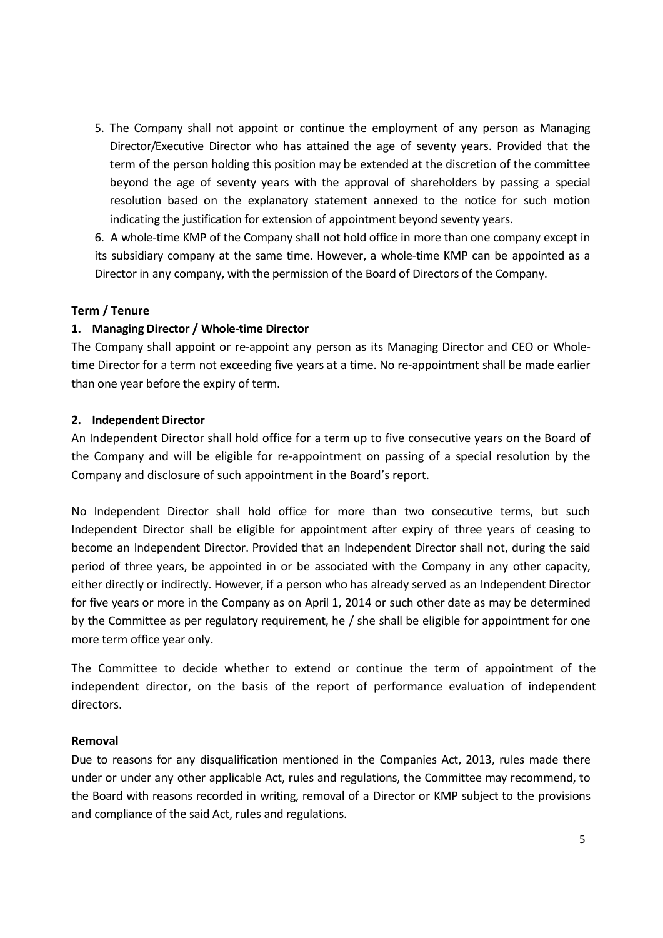5. The Company shall not appoint or continue the employment of any person as Managing Director/Executive Director who has attained the age of seventy years. Provided that the term of the person holding this position may be extended at the discretion of the committee beyond the age of seventy years with the approval of shareholders by passing a special resolution based on the explanatory statement annexed to the notice for such motion indicating the justification for extension of appointment beyond seventy years.

6. A whole-time KMP of the Company shall not hold office in more than one company except in its subsidiary company at the same time. However, a whole-time KMP can be appointed as a Director in any company, with the permission of the Board of Directors of the Company.

## Term / Tenure

#### 1. Managing Director / Whole-time Director

The Company shall appoint or re-appoint any person as its Managing Director and CEO or Wholetime Director for a term not exceeding five years at a time. No re-appointment shall be made earlier than one year before the expiry of term.

#### 2. Independent Director

An Independent Director shall hold office for a term up to five consecutive years on the Board of the Company and will be eligible for re-appointment on passing of a special resolution by the Company and disclosure of such appointment in the Board's report.

No Independent Director shall hold office for more than two consecutive terms, but such Independent Director shall be eligible for appointment after expiry of three years of ceasing to become an Independent Director. Provided that an Independent Director shall not, during the said period of three years, be appointed in or be associated with the Company in any other capacity, either directly or indirectly. However, if a person who has already served as an Independent Director for five years or more in the Company as on April 1, 2014 or such other date as may be determined by the Committee as per regulatory requirement, he / she shall be eligible for appointment for one more term office year only.

The Committee to decide whether to extend or continue the term of appointment of the independent director, on the basis of the report of performance evaluation of independent directors.

#### Removal

Due to reasons for any disqualification mentioned in the Companies Act, 2013, rules made there under or under any other applicable Act, rules and regulations, the Committee may recommend, to the Board with reasons recorded in writing, removal of a Director or KMP subject to the provisions and compliance of the said Act, rules and regulations.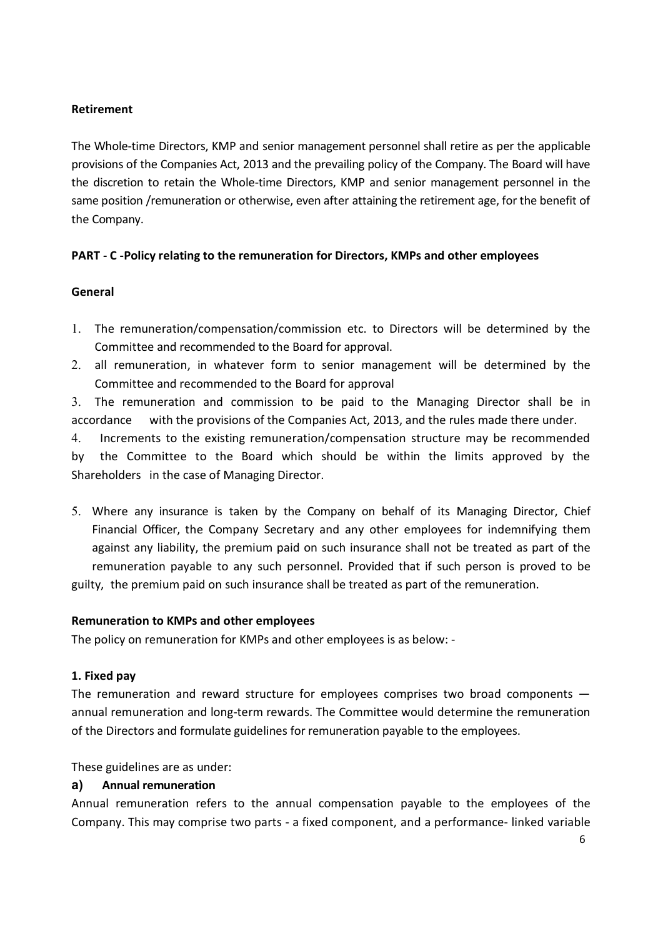## Retirement

The Whole-time Directors, KMP and senior management personnel shall retire as per the applicable provisions of the Companies Act, 2013 and the prevailing policy of the Company. The Board will have the discretion to retain the Whole-time Directors, KMP and senior management personnel in the same position /remuneration or otherwise, even after attaining the retirement age, for the benefit of the Company.

# PART - C -Policy relating to the remuneration for Directors, KMPs and other employees

# General

- 1. The remuneration/compensation/commission etc. to Directors will be determined by the Committee and recommended to the Board for approval.
- 2. all remuneration, in whatever form to senior management will be determined by the Committee and recommended to the Board for approval

3. The remuneration and commission to be paid to the Managing Director shall be in accordance with the provisions of the Companies Act, 2013, and the rules made there under.

4. Increments to the existing remuneration/compensation structure may be recommended by the Committee to the Board which should be within the limits approved by the Shareholders in the case of Managing Director.

5. Where any insurance is taken by the Company on behalf of its Managing Director, Chief Financial Officer, the Company Secretary and any other employees for indemnifying them against any liability, the premium paid on such insurance shall not be treated as part of the remuneration payable to any such personnel. Provided that if such person is proved to be guilty, the premium paid on such insurance shall be treated as part of the remuneration.

## Remuneration to KMPs and other employees

The policy on remuneration for KMPs and other employees is as below: -

## 1. Fixed pay

The remuneration and reward structure for employees comprises two broad components annual remuneration and long-term rewards. The Committee would determine the remuneration of the Directors and formulate guidelines for remuneration payable to the employees.

These guidelines are as under:

## a) Annual remuneration

Annual remuneration refers to the annual compensation payable to the employees of the Company. This may comprise two parts - a fixed component, and a performance- linked variable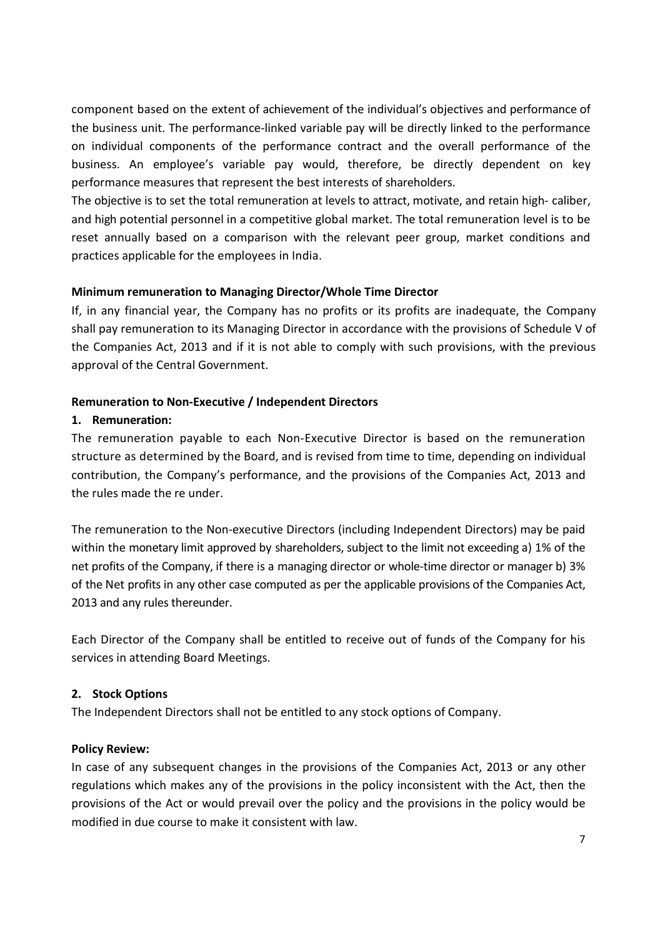component based on the extent of achievement of the individual's objectives and performance of the business unit. The performance-linked variable pay will be directly linked to the performance on individual components of the performance contract and the overall performance of the business. An employee's variable pay would, therefore, be directly dependent on key performance measures that represent the best interests of shareholders.

The objective is to set the total remuneration at levels to attract, motivate, and retain high- caliber, and high potential personnel in a competitive global market. The total remuneration level is to be reset annually based on a comparison with the relevant peer group, market conditions and practices applicable for the employees in India.

## Minimum remuneration to Managing Director/Whole Time Director

If, in any financial year, the Company has no profits or its profits are inadequate, the Company shall pay remuneration to its Managing Director in accordance with the provisions of Schedule V of the Companies Act, 2013 and if it is not able to comply with such provisions, with the previous approval of the Central Government.

# Remuneration to Non-Executive / Independent Directors

## 1. Remuneration:

The remuneration payable to each Non-Executive Director is based on the remuneration structure as determined by the Board, and is revised from time to time, depending on individual contribution, the Company's performance, and the provisions of the Companies Act, 2013 and the rules made the re under.

The remuneration to the Non-executive Directors (including Independent Directors) may be paid within the monetary limit approved by shareholders, subject to the limit not exceeding a) 1% of the net profits of the Company, if there is a managing director or whole-time director or manager b) 3% of the Net profits in any other case computed as per the applicable provisions of the Companies Act, 2013 and any rules thereunder.

Each Director of the Company shall be entitled to receive out of funds of the Company for his services in attending Board Meetings.

# 2. Stock Options

The Independent Directors shall not be entitled to any stock options of Company.

## Policy Review:

In case of any subsequent changes in the provisions of the Companies Act, 2013 or any other regulations which makes any of the provisions in the policy inconsistent with the Act, then the provisions of the Act or would prevail over the policy and the provisions in the policy would be modified in due course to make it consistent with law.